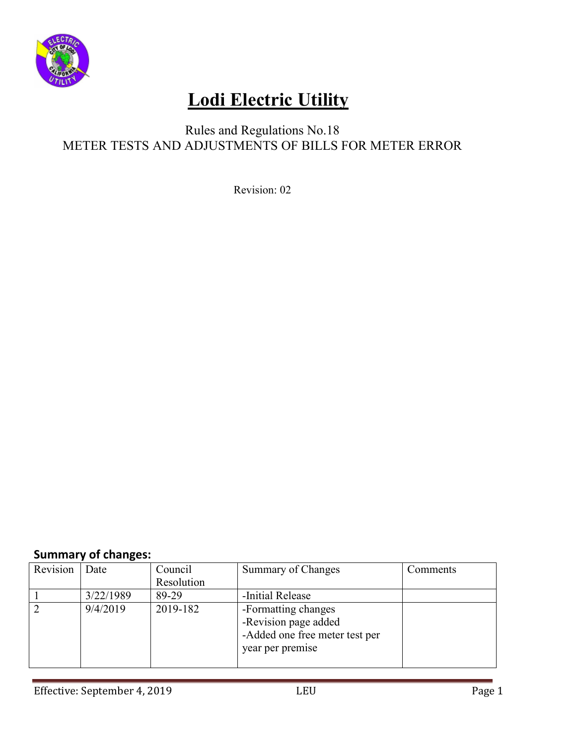

### Rules and Regulations No.18 METER TESTS AND ADJUSTMENTS OF BILLS FOR METER ERROR

Revision: 02

### **Summary of changes:**

| Revision       | Date      | Council    | Summary of Changes                                                                                | Comments |
|----------------|-----------|------------|---------------------------------------------------------------------------------------------------|----------|
|                |           | Resolution |                                                                                                   |          |
|                | 3/22/1989 | 89-29      | -Initial Release                                                                                  |          |
| $\overline{2}$ | 9/4/2019  | 2019-182   | -Formatting changes<br>-Revision page added<br>-Added one free meter test per<br>year per premise |          |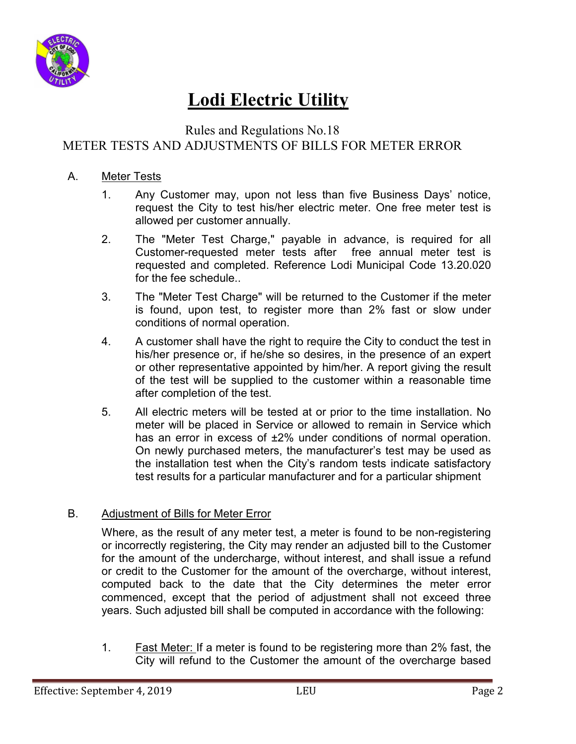

### Rules and Regulations No.18 METER TESTS AND ADJUSTMENTS OF BILLS FOR METER ERROR

#### A. Meter Tests

- 1. Any Customer may, upon not less than five Business Days' notice, request the City to test his/her electric meter. One free meter test is allowed per customer annually.
- 2. The "Meter Test Charge," payable in advance, is required for all Customer-requested meter tests after free annual meter test is requested and completed. Reference Lodi Municipal Code 13.20.020 for the fee schedule.
- 3. The "Meter Test Charge" will be returned to the Customer if the meter is found, upon test, to register more than 2% fast or slow under conditions of normal operation.
- 4. A customer shall have the right to require the City to conduct the test in his/her presence or, if he/she so desires, in the presence of an expert or other representative appointed by him/her. A report giving the result of the test will be supplied to the customer within a reasonable time after completion of the test.
- 5. All electric meters will be tested at or prior to the time installation. No meter will be placed in Service or allowed to remain in Service which has an error in excess of  $\pm 2\%$  under conditions of normal operation. On newly purchased meters, the manufacturer's test may be used as the installation test when the City's random tests indicate satisfactory test results for a particular manufacturer and for a particular shipment

#### B. Adjustment of Bills for Meter Error

Where, as the result of any meter test, a meter is found to be non-registering or incorrectly registering, the City may render an adjusted bill to the Customer for the amount of the undercharge, without interest, and shall issue a refund or credit to the Customer for the amount of the overcharge, without interest, computed back to the date that the City determines the meter error commenced, except that the period of adjustment shall not exceed three years. Such adjusted bill shall be computed in accordance with the following:

1. Fast Meter: If a meter is found to be registering more than 2% fast, the City will refund to the Customer the amount of the overcharge based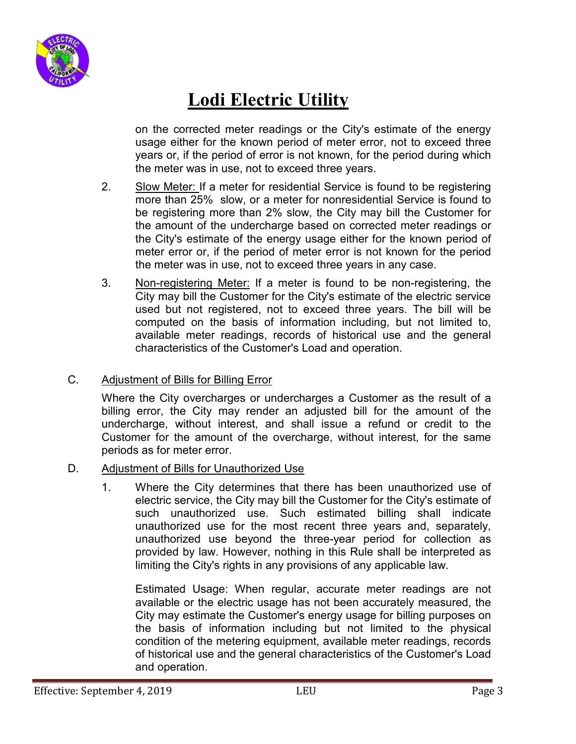

on the corrected meter readings or the City's estimate of the energy usage either for the known period of meter error, not to exceed three years or, if the period of error is not known, for the period during which the meter was in use, not to exceed three years.

- 2. Slow Meter: If a meter for residential Service is found to be registering more than 25% slow, or a meter for nonresidential Service is found to be registering more than 2% slow, the City may bill the Customer for the amount of the undercharge based on corrected meter readings or the City's estimate of the energy usage either for the known period of meter error or, if the period of meter error is not known for the period the meter was in use, not to exceed three years in any case.
- 3. Non-registering Meter: If a meter is found to be non-registering, the City may bill the Customer for the City's estimate of the electric service used but not registered, not to exceed three years. The bill will be computed on the basis of information including, but not limited to, available meter readings, records of historical use and the general characteristics of the Customer's Load and operation.

#### C. Adjustment of Bills for Billing Error

Where the City overcharges or undercharges a Customer as the result of a billing error, the City may render an adjusted bill for the amount of the undercharge, without interest, and shall issue a refund or credit to the Customer for the amount of the overcharge, without interest, for the same periods as for meter error.

#### D. Adjustment of Bills for Unauthorized Use

 1. Where the City determines that there has been unauthorized use of electric service, the City may bill the Customer for the City's estimate of such unauthorized use. Such estimated billing shall indicate unauthorized use for the most recent three years and, separately, unauthorized use beyond the three-year period for collection as provided by law. However, nothing in this Rule shall be interpreted as limiting the City's rights in any provisions of any applicable law.

 Estimated Usage: When regular, accurate meter readings are not available or the electric usage has not been accurately measured, the City may estimate the Customer's energy usage for billing purposes on the basis of information including but not limited to the physical condition of the metering equipment, available meter readings, records of historical use and the general characteristics of the Customer's Load and operation.